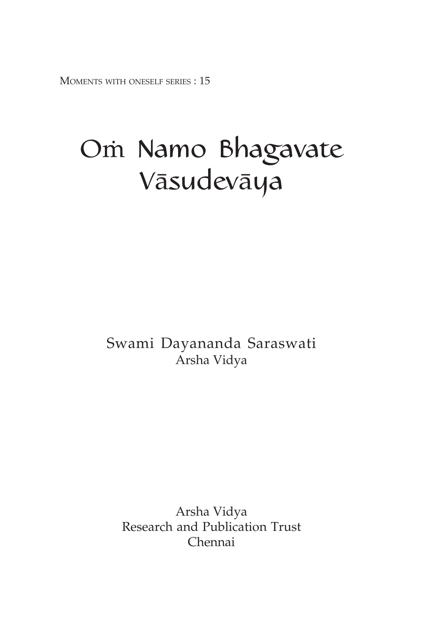MOMENTS WITH ONESELF SERIES : 15

# Om Namo Bhagavate Väsudeväya

Swami Dayananda Saraswati Arsha Vidya

Arsha Vidya Research and Publication Trust Chennai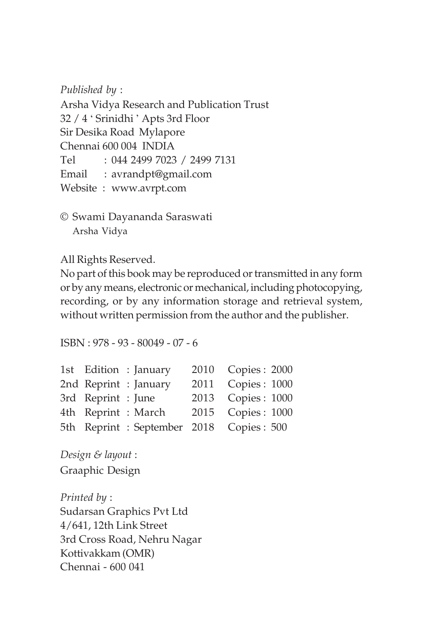*Published by* : Arsha Vidya Research and Publication Trust 32 / 4 ' Srinidhi ' Apts 3rd Floor Sir Desika Road Mylapore Chennai 600 004 INDIA Tel : 044 2499 7023 / 2499 7131 Email : avrandpt@gmail.com Website : www.avrpt.com

© Swami Dayananda Saraswati Arsha Vidya

All Rights Reserved.

No part of this book may be reproduced or transmitted in any form or by any means, electronic or mechanical, including photocopying, recording, or by any information storage and retrieval system, without written permission from the author and the publisher.

```
ISBN : 978 - 93 - 80049 - 07 - 6
```

|                    | 1st Edition : January | 2010 Copies: 2000                         |
|--------------------|-----------------------|-------------------------------------------|
|                    | 2nd Reprint : January | 2011 Copies: 1000                         |
| 3rd Reprint : June |                       | 2013 Copies: 1000                         |
|                    | 4th Reprint : March   | 2015 Copies: 1000                         |
|                    |                       | 5th Reprint : September 2018 Copies : 500 |

*Design & layout* : Graaphic Design

*Printed by* : Sudarsan Graphics Pvt Ltd 4/641, 12th Link Street 3rd Cross Road, Nehru Nagar Kottivakkam (OMR) Chennai - 600 041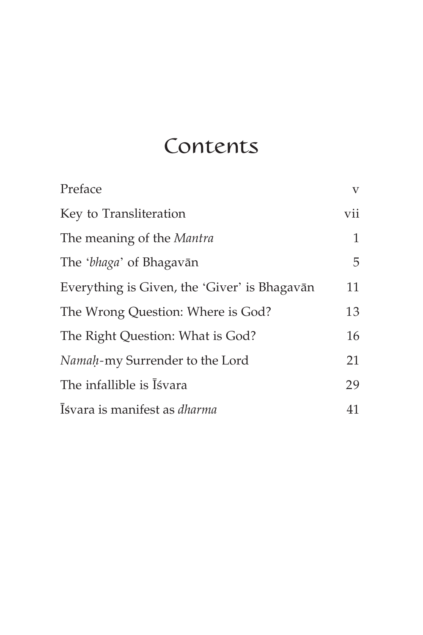# Contents

| Preface                                      | $\overline{\mathbf{V}}$ |
|----------------------------------------------|-------------------------|
| Key to Transliteration                       | vii                     |
| The meaning of the Mantra                    | 1                       |
| The <i>'bhaga'</i> of Bhagavān               | 5                       |
| Everything is Given, the 'Giver' is Bhagavān | 11                      |
| The Wrong Question: Where is God?            | 13                      |
| The Right Question: What is God?             | 16                      |
| Namah-my Surrender to the Lord               | 21                      |
| The infallible is Isvara                     | 29                      |
| Isvara is manifest as <i>dharma</i>          | 41                      |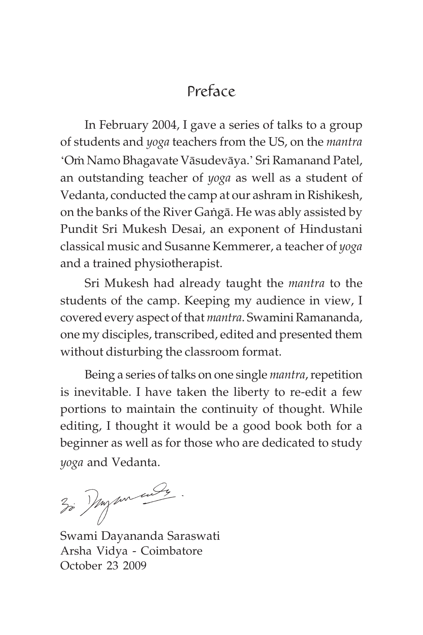### Preface

In February 2004, I gave a series of talks to a group of students and *yoga* teachers from the US, on the *mantra* 'Om Namo Bhagavate Vāsudevāya.' Sri Ramanand Patel, an outstanding teacher of *yoga* as well as a student of Vedanta, conducted the camp at our ashram in Rishikesh, on the banks of the River Gaṅgā. He was ably assisted by Pundit Sri Mukesh Desai, an exponent of Hindustani classical music and Susanne Kemmerer, a teacher of *yoga* and a trained physiotherapist.

Sri Mukesh had already taught the *mantra* to the students of the camp. Keeping my audience in view, I covered every aspect of that *mantra*. Swamini Ramananda, one my disciples, transcribed, edited and presented them without disturbing the classroom format.

Being a series of talks on one single *mantra*, repetition is inevitable. I have taken the liberty to re-edit a few portions to maintain the continuity of thought. While editing, I thought it would be a good book both for a beginner as well as for those who are dedicated to study *yoga* and Vedanta.

30 Mysen ende

Swami Dayananda Saraswati Arsha Vidya - Coimbatore October 23 2009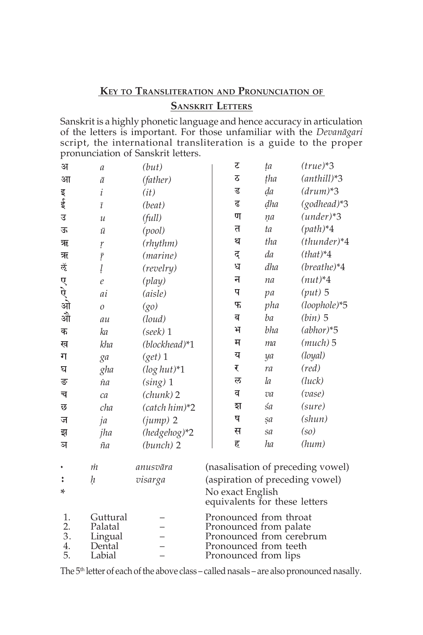#### **KEY TO TRANSLITERATION AND PRONUNCIATION OF SANSKRIT LETTERS**

Sanskrit is a highly phonetic language and hence accuracy in articulation of the letters is important. For those unfamiliar with the *Devanägari* script, the international transliteration is a guide to the proper pronunciation of Sanskrit letters.

| अ                   | $\mathfrak a$     | (but)           | र                                                 | ta  | $(true)*3$                        |
|---------------------|-------------------|-----------------|---------------------------------------------------|-----|-----------------------------------|
| आ                   | ā                 | (father)        | ठ                                                 | tha | $(anthill)*3$                     |
|                     | $\dot{i}$         | (it)            | ड                                                 | dа  | $(drum)*3$                        |
| रा क्ष              | $\overline{t}$    | (beat)          | ढ                                                 | dha | (godhead)*3                       |
| उ                   | $\mathcal{U}$     | (full)          | ण                                                 | na  | $(under)*3$                       |
| ऊ                   | ū                 | (pool)          | त                                                 | ta  | $(path)*4$                        |
| ऋ                   | ŗ                 | (rhythm)        | थ                                                 | tha | $(thunder)*4$                     |
| ॠ                   | $\bar{r}$         | (marine)        | द                                                 | da  | $(that)*4$                        |
| ऌॅ                  | ļ                 | (revelry)       | ध                                                 | dha | $(breathe)*4$                     |
|                     | $\ell$            | (play)          | न                                                 | na  | $(nut)*4$                         |
| ए<br>अो             | ai                | (aisle)         | प                                                 | pa  | $(put)$ 5                         |
|                     | $\mathcal{O}$     | $(g_0)$         | फ                                                 | pha | (loophole)*5                      |
| औ                   | au                | (loud)          | ब                                                 | ba  | $(bin)$ 5                         |
| क                   | ka                | (seek) 1        | भ                                                 | bha | $(abhor)*5$                       |
| ख                   | kha               | $(blockhead)*1$ | म                                                 | ma  | $(much)$ 5                        |
| ग                   | ga                | $(get)$ 1       | य                                                 | ya  | (loyal)                           |
| घ                   | gha               | $(log\,hut)*1$  | ₹                                                 | ra  | $(\text{red})$                    |
| ङ                   | 'nа               | $(sing)$ 1      | ल                                                 | la  | (luck)                            |
| च                   | ca                | $(charnk)$ 2    | व                                                 | va  | (vase)                            |
| छ                   | cha               | $(catch him)*2$ | হা                                                | śa  | (sure)                            |
| ज                   | ja                | $(iump)$ 2      | ष                                                 | şa  | $(\text{shun})$                   |
| झ                   |                   |                 |                                                   |     |                                   |
|                     | jha               | (hedgehog)*2    | स                                                 | sa  | (so)                              |
| ञ                   | ña                | $(bunch)$ 2     | ह                                                 | ha  | (hum)                             |
|                     |                   |                 |                                                   |     |                                   |
|                     | 'n                | anusvāra        |                                                   |     | (nasalisation of preceding vowel) |
| $\ddot{\cdot}$<br>* | ķ                 | visarga         | (aspiration of preceding vowel)                   |     |                                   |
|                     |                   |                 | No exact English<br>equivalents for these letters |     |                                   |
| 1.                  | Guttural          |                 | Pronounced from throat                            |     |                                   |
| 2.                  | Palatal           |                 | Pronounced from palate                            |     |                                   |
| 3.<br>4.            | Lingual<br>Dental |                 | Pronounced from cerebrum<br>Pronounced from teeth |     |                                   |

The 5<sup>th</sup> letter of each of the above class – called nasals – are also pronounced nasally.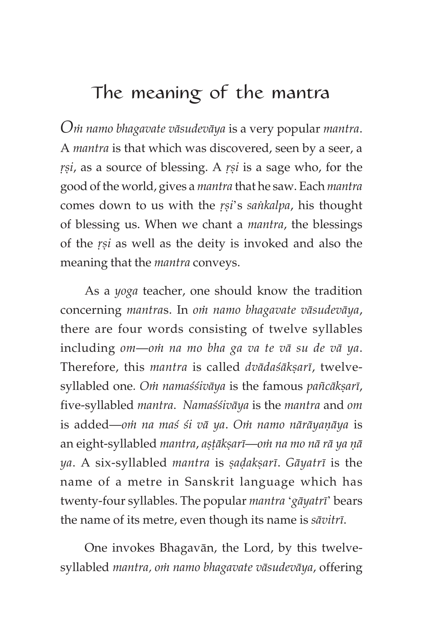# The meaning of the mantra

*Om namo bhagavate vāsudevāya* is a very popular *mantra*. A *mantra* is that which was discovered, seen by a seer, a *fsi*, as a source of blessing. A *fsi* is a sage who, for the good of the world, gives a *mantra* that he saw. Each *mantra* comes down to us with the *rsi's sankalpa*, his thought of blessing us. When we chant a *mantra*, the blessings of the *rsi* as well as the deity is invoked and also the meaning that the *mantra* conveys.

As a *yoga* teacher, one should know the tradition concerning *mantra*s. In *oà namo bhagavate väsudeväya*, there are four words consisting of twelve syllables including om—om na mo bha ga va te vā su de vā ya. Therefore, this *mantra* is called *dvādaśāksarī*, twelvesyllabled one. *Om namaśśivāya* is the famous pañcākṣarī, five-syllabled *mantra*. *Namaççiväya* is the *mantra* and *om* is added—*oà na maç çi vä ya*. *Oà namo näräyaëäya* is an eight-syllabled *mantra*, așțākșarī—om na mo nā rā ya ņā *ya*. A six-syllabled *mantra* is *sadakṣarī*. *Gāyatrī* is the name of a metre in Sanskrit language which has twenty-four syllables. The popular *mantra* '*gäyatré*' bears the name of its metre, even though its name is *sävitré*.

One invokes Bhagavän, the Lord, by this twelvesyllabled *mantra, om namo bhagavate vāsudevāya*, offering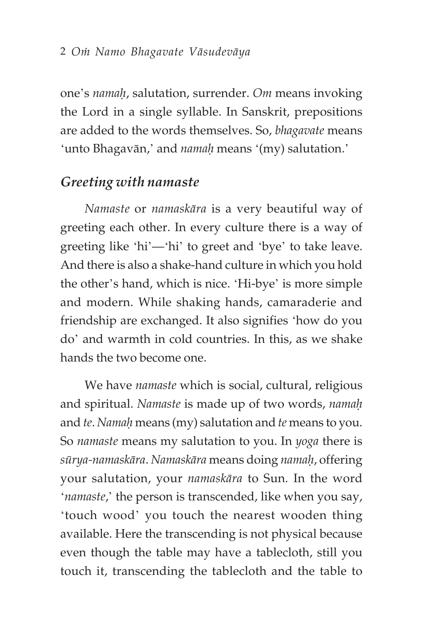one's *namaù*, salutation, surrender. *Om* means invoking the Lord in a single syllable. In Sanskrit, prepositions are added to the words themselves. So, *bhagavate* means 'unto Bhagavän,' and *namaù* means '(my) salutation.'

### *Greeting with namaste*

*Namaste* or *namaskära* is a very beautiful way of greeting each other. In every culture there is a way of greeting like 'hi'—'hi' to greet and 'bye' to take leave. And there is also a shake-hand culture in which you hold the other's hand, which is nice. 'Hi-bye' is more simple and modern. While shaking hands, camaraderie and friendship are exchanged. It also signifies 'how do you do' and warmth in cold countries. In this, as we shake hands the two become one.

We have *namaste* which is social, cultural, religious and spiritual. *Namaste* is made up of two words, *namaù* and *te*. *Namaù* means (my) salutation and *te* means to you. So *namaste* means my salutation to you. In *yoga* there is *sürya-namaskära*. *Namaskära* means doing *namaù*, offering your salutation, your *namaskära* to Sun*.* In the word '*namaste*,' the person is transcended, like when you say, 'touch wood' you touch the nearest wooden thing available. Here the transcending is not physical because even though the table may have a tablecloth, still you touch it, transcending the tablecloth and the table to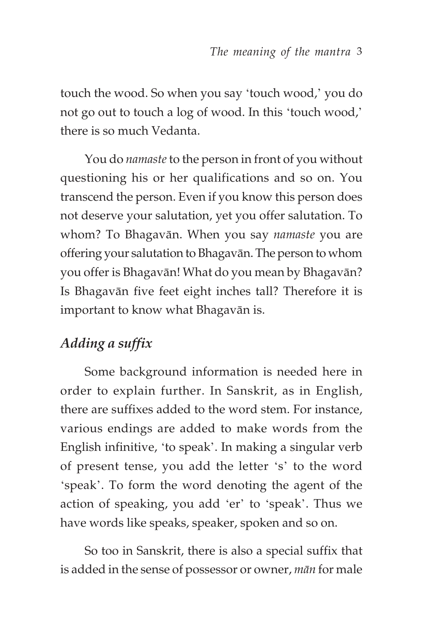touch the wood. So when you say 'touch wood,' you do not go out to touch a log of wood. In this 'touch wood,' there is so much Vedanta.

You do *namaste* to the person in front of you without questioning his or her qualifications and so on. You transcend the person. Even if you know this person does not deserve your salutation, yet you offer salutation. To whom? To Bhagavän. When you say *namaste* you are offering your salutation to Bhagavän. The person to whom you offer is Bhagavän! What do you mean by Bhagavän? Is Bhagavän five feet eight inches tall? Therefore it is important to know what Bhagavän is.

### *Adding a suffix*

Some background information is needed here in order to explain further. In Sanskrit, as in English, there are suffixes added to the word stem. For instance, various endings are added to make words from the English infinitive, 'to speak'. In making a singular verb of present tense, you add the letter 's' to the word 'speak'. To form the word denoting the agent of the action of speaking, you add 'er' to 'speak'. Thus we have words like speaks, speaker, spoken and so on.

So too in Sanskrit, there is also a special suffix that is added in the sense of possessor or owner, *män* for male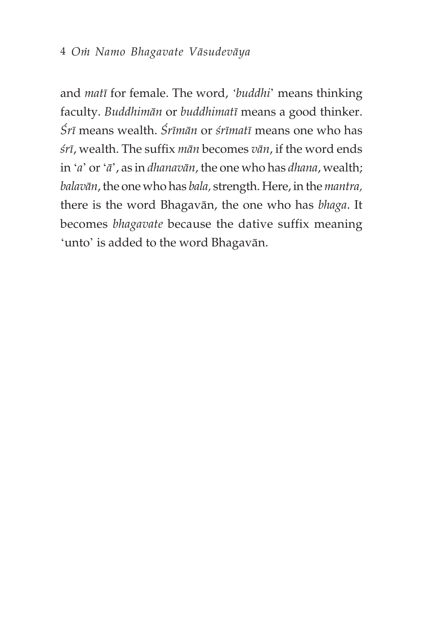#### 4 *Oà Namo Bhagavate Väsudeväya*

and *maté* for female. The word, *'buddhi*' means thinking faculty. *Buddhimän* or *buddhimaté* means a good thinker. *Çré* means wealth. *Çrémän* or *çrématé* means one who has *çré*, wealth. The suffix *män* becomes *vän*, if the word ends in '*a*' or '*ä*', as in *dhanavän*, the one who has *dhana*, wealth; *balavän*, the one who has *bala,* strength. Here, in the *mantra,* there is the word Bhagavän, the one who has *bhaga*. It becomes *bhagavate* because the dative suffix meaning 'unto' is added to the word Bhagavän.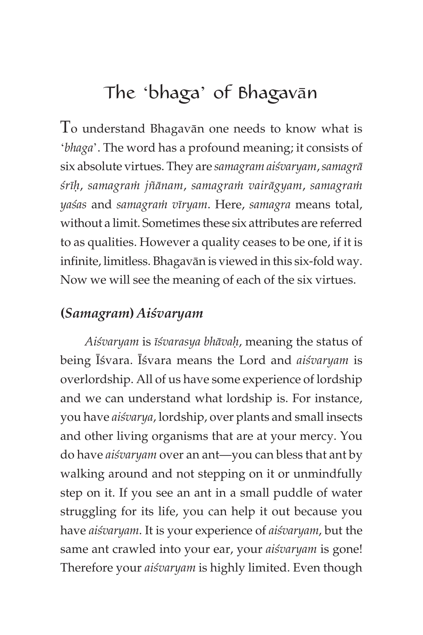# The 'bhaga' of Bhagavän

To understand Bhagavän one needs to know what is '*bhaga*'. The word has a profound meaning; it consists of six absolute virtues. They are *samagram aiçvaryam*, *samagrä çréù*, *samagraà jïänam*, *samagraà vairägyam*, *samagraà yaças* and *samagraà véryam*. Here, *samagra* means total, without a limit. Sometimes these six attributes are referred to as qualities. However a quality ceases to be one, if it is infinite, limitless. Bhagavän is viewed in this six-fold way. Now we will see the meaning of each of the six virtues.

#### **(***Samagram***)** *Aiçvaryam*

*Aiçvaryam* is *éçvarasya bhävaù*, meaning the status of being Éçvara. Éçvara means the Lord and *aiçvaryam* is overlordship. All of us have some experience of lordship and we can understand what lordship is. For instance, you have *aiçvarya*, lordship, over plants and small insects and other living organisms that are at your mercy. You do have *aiçvaryam* over an ant—you can bless that ant by walking around and not stepping on it or unmindfully step on it. If you see an ant in a small puddle of water struggling for its life, you can help it out because you have *aiçvaryam*. It is your experience of *aiçvaryam*, but the same ant crawled into your ear, your *aiçvaryam* is gone! Therefore your *aiçvaryam* is highly limited. Even though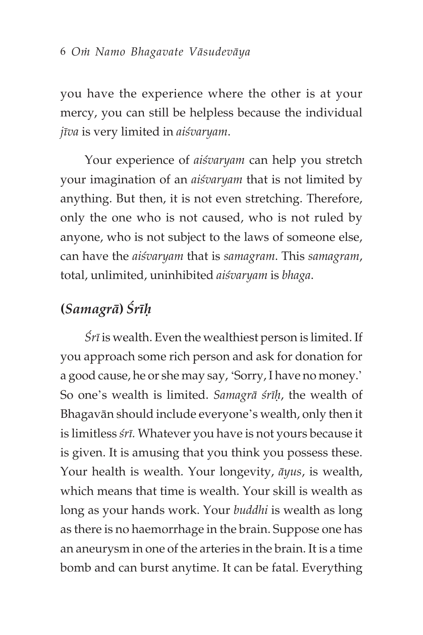you have the experience where the other is at your mercy, you can still be helpless because the individual *jéva* is very limited in *aiçvaryam*.

Your experience of *aiçvaryam* can help you stretch your imagination of an *aiçvaryam* that is not limited by anything. But then, it is not even stretching. Therefore, only the one who is not caused, who is not ruled by anyone, who is not subject to the laws of someone else, can have the *aiçvaryam* that is *samagram*. This *samagram*, total, unlimited, uninhibited *aiçvaryam* is *bhaga*.

### **(***Samagrä***)** *Çréù*

*Çré* is wealth. Even the wealthiest person is limited. If you approach some rich person and ask for donation for a good cause, he or she may say, 'Sorry, I have no money.' So one's wealth is limited. *Samagrā śrīh*, the wealth of Bhagavän should include everyone's wealth, only then it is limitless *çré.* Whatever you have is not yours because it is given. It is amusing that you think you possess these. Your health is wealth. Your longevity, *äyus*, is wealth, which means that time is wealth. Your skill is wealth as long as your hands work. Your *buddhi* is wealth as long as there is no haemorrhage in the brain. Suppose one has an aneurysm in one of the arteries in the brain. It is a time bomb and can burst anytime. It can be fatal. Everything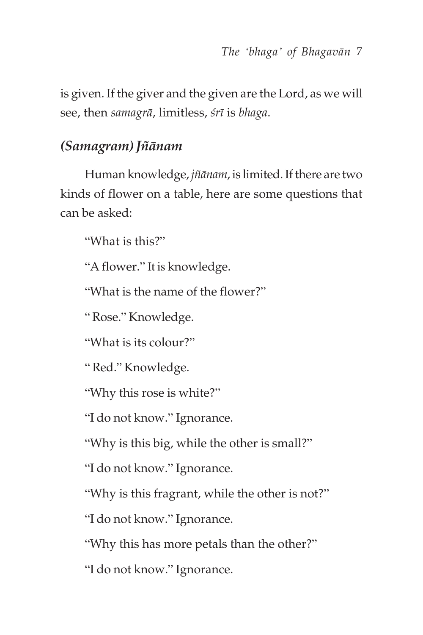is given. If the giver and the given are the Lord, as we will see, then *samagrä*, limitless, *çré* is *bhaga*.

### *(Samagram) Jïänam*

Human knowledge, *jïänam*, is limited. If there are two kinds of flower on a table, here are some questions that can be asked:

"What is this?"

"A flower." It is knowledge.

"What is the name of the flower?"

" Rose." Knowledge.

"What is its colour?"

" Red." Knowledge.

"Why this rose is white?"

"I do not know." Ignorance.

"Why is this big, while the other is small?"

"I do not know." Ignorance.

"Why is this fragrant, while the other is not?"

"I do not know." Ignorance.

"Why this has more petals than the other?"

"I do not know." Ignorance.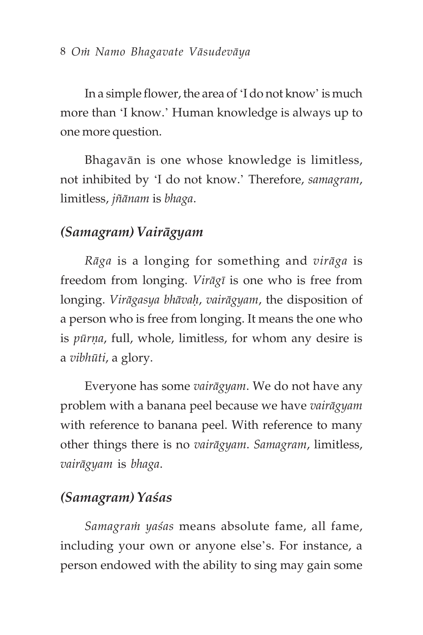In a simple flower, the area of 'I do not know' is much more than 'I know.' Human knowledge is always up to one more question.

Bhagavän is one whose knowledge is limitless, not inhibited by 'I do not know.' Therefore, *samagram*, limitless, *jïänam* is *bhaga*.

#### *(Samagram) Vairägyam*

*Räga* is a longing for something and *viräga* is freedom from longing. *Virägé* is one who is free from longing. *Virägasya bhävaù*, *vairägyam*, the disposition of a person who is free from longing. It means the one who is *pūrna*, full, whole, limitless, for whom any desire is a *vibhüti*, a glory.

Everyone has some *vairägyam*. We do not have any problem with a banana peel because we have *vairägyam* with reference to banana peel. With reference to many other things there is no *vairägyam*. *Samagram*, limitless, *vairägyam* is *bhaga*.

#### *(Samagram) Yaças*

*Samagraà yaças* means absolute fame, all fame, including your own or anyone else's. For instance, a person endowed with the ability to sing may gain some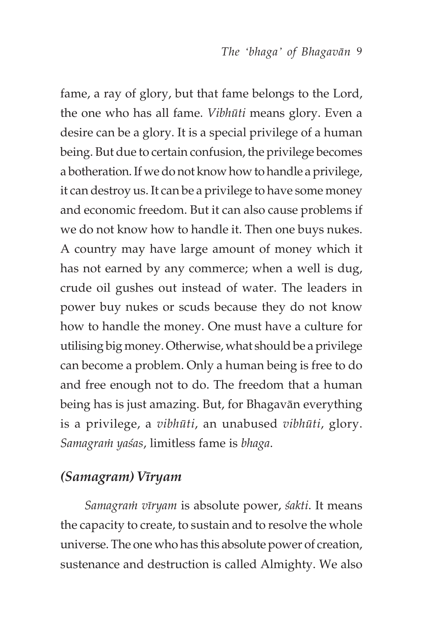fame, a ray of glory, but that fame belongs to the Lord, the one who has all fame. *Vibhüti* means glory. Even a desire can be a glory. It is a special privilege of a human being. But due to certain confusion, the privilege becomes a botheration. If we do not know how to handle a privilege, it can destroy us. It can be a privilege to have some money and economic freedom. But it can also cause problems if we do not know how to handle it. Then one buys nukes. A country may have large amount of money which it has not earned by any commerce; when a well is dug, crude oil gushes out instead of water. The leaders in power buy nukes or scuds because they do not know how to handle the money. One must have a culture for utilising big money. Otherwise, what should be a privilege can become a problem. Only a human being is free to do and free enough not to do. The freedom that a human being has is just amazing. But, for Bhagavän everything is a privilege, a *vibhüti*, an unabused *vibhüti*, glory. *Samagraà yaças*, limitless fame is *bhaga*.

#### *(Samagram) Véryam*

*Samagraà véryam* is absolute power, *çakti*. It means the capacity to create, to sustain and to resolve the whole universe. The one who has this absolute power of creation, sustenance and destruction is called Almighty. We also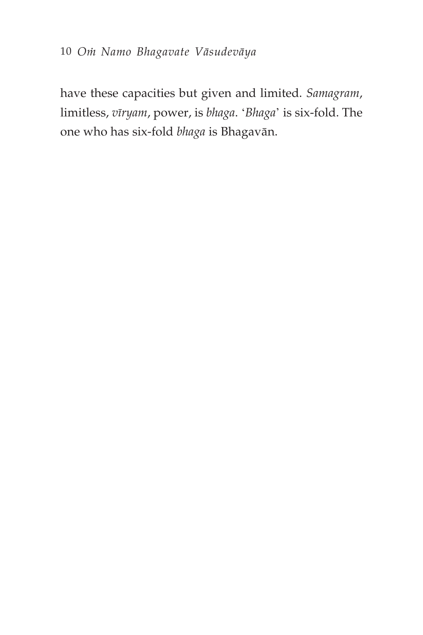#### 10 *Oà Namo Bhagavate Väsudeväya*

have these capacities but given and limited. *Samagram*, limitless, *véryam*, power, is *bhaga*. '*Bhaga*' is six-fold. The one who has six-fold *bhaga* is Bhagavän.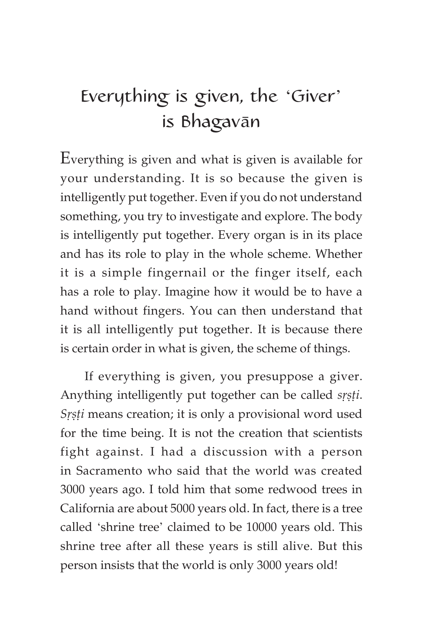# Everything is given, the 'Giver' is Bhagavän

Everything is given and what is given is available for your understanding. It is so because the given is intelligently put together. Even if you do not understand something, you try to investigate and explore. The body is intelligently put together. Every organ is in its place and has its role to play in the whole scheme. Whether it is a simple fingernail or the finger itself, each has a role to play. Imagine how it would be to have a hand without fingers. You can then understand that it is all intelligently put together. It is because there is certain order in what is given, the scheme of things.

If everything is given, you presuppose a giver. Anything intelligently put together can be called *srsti*. *Srșți* means creation; it is only a provisional word used for the time being. It is not the creation that scientists fight against. I had a discussion with a person in Sacramento who said that the world was created 3000 years ago. I told him that some redwood trees in California are about 5000 years old. In fact, there is a tree called 'shrine tree' claimed to be 10000 years old. This shrine tree after all these years is still alive. But this person insists that the world is only 3000 years old!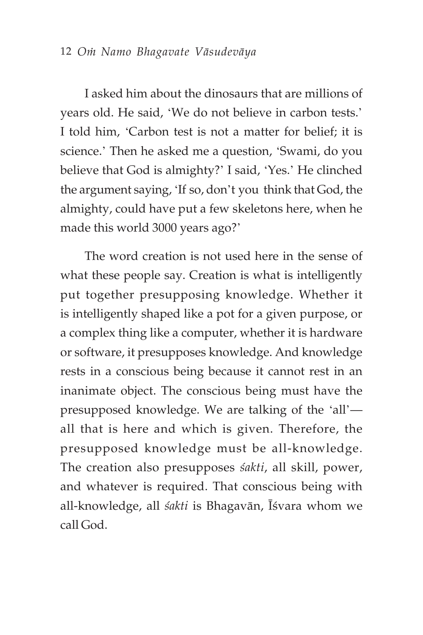I asked him about the dinosaurs that are millions of years old. He said, 'We do not believe in carbon tests.' I told him, 'Carbon test is not a matter for belief; it is science.' Then he asked me a question, 'Swami, do you believe that God is almighty?' I said, 'Yes.' He clinched the argument saying, 'If so, don't you think that God, the almighty, could have put a few skeletons here, when he made this world 3000 years ago?'

The word creation is not used here in the sense of what these people say. Creation is what is intelligently put together presupposing knowledge. Whether it is intelligently shaped like a pot for a given purpose, or a complex thing like a computer, whether it is hardware or software, it presupposes knowledge. And knowledge rests in a conscious being because it cannot rest in an inanimate object. The conscious being must have the presupposed knowledge. We are talking of the 'all' all that is here and which is given. Therefore, the presupposed knowledge must be all-knowledge. The creation also presupposes *çakti*, all skill, power, and whatever is required. That conscious being with all-knowledge, all *śakti* is Bhagavān, Īśvara whom we call God.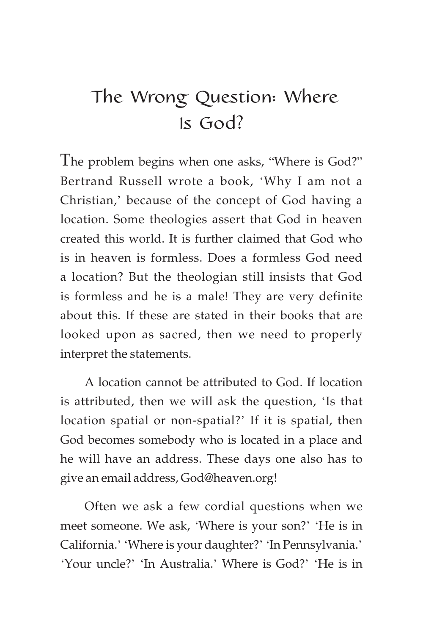# The Wrong Question: Where Is God?

The problem begins when one asks, "Where is God?" Bertrand Russell wrote a book, 'Why I am not a Christian,' because of the concept of God having a location. Some theologies assert that God in heaven created this world. It is further claimed that God who is in heaven is formless. Does a formless God need a location? But the theologian still insists that God is formless and he is a male! They are very definite about this. If these are stated in their books that are looked upon as sacred, then we need to properly interpret the statements.

A location cannot be attributed to God. If location is attributed, then we will ask the question, 'Is that location spatial or non-spatial?' If it is spatial, then God becomes somebody who is located in a place and he will have an address. These days one also has to give an email address, God@heaven.org!

Often we ask a few cordial questions when we meet someone. We ask, 'Where is your son?' 'He is in California.' 'Where is your daughter?' 'In Pennsylvania.' 'Your uncle?' 'In Australia.' Where is God?' 'He is in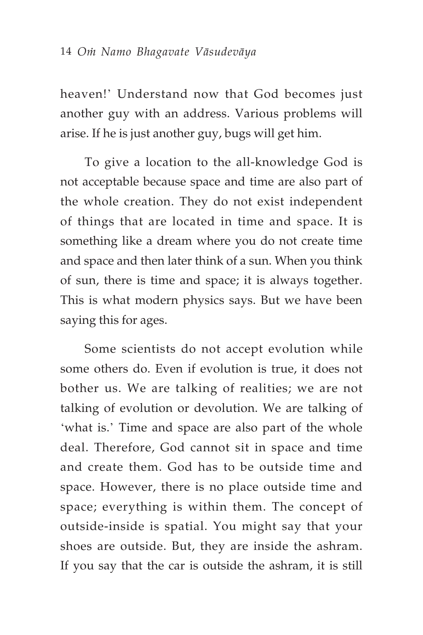heaven!' Understand now that God becomes just another guy with an address. Various problems will arise. If he is just another guy, bugs will get him.

To give a location to the all-knowledge God is not acceptable because space and time are also part of the whole creation. They do not exist independent of things that are located in time and space. It is something like a dream where you do not create time and space and then later think of a sun. When you think of sun, there is time and space; it is always together. This is what modern physics says. But we have been saying this for ages.

Some scientists do not accept evolution while some others do. Even if evolution is true, it does not bother us. We are talking of realities; we are not talking of evolution or devolution. We are talking of 'what is.' Time and space are also part of the whole deal. Therefore, God cannot sit in space and time and create them. God has to be outside time and space. However, there is no place outside time and space; everything is within them. The concept of outside-inside is spatial. You might say that your shoes are outside. But, they are inside the ashram. If you say that the car is outside the ashram, it is still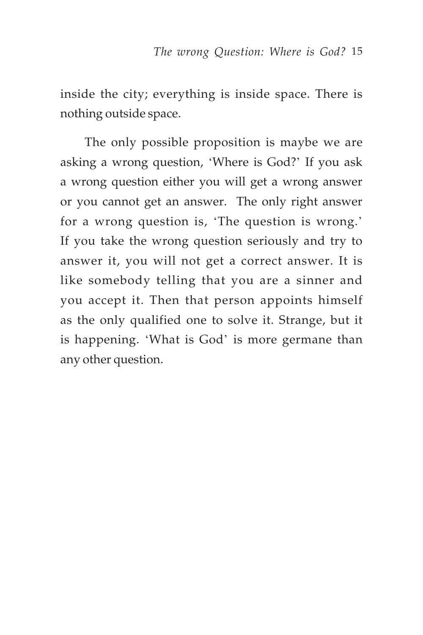inside the city; everything is inside space. There is nothing outside space.

The only possible proposition is maybe we are asking a wrong question, 'Where is God?' If you ask a wrong question either you will get a wrong answer or you cannot get an answer. The only right answer for a wrong question is, 'The question is wrong.' If you take the wrong question seriously and try to answer it, you will not get a correct answer. It is like somebody telling that you are a sinner and you accept it. Then that person appoints himself as the only qualified one to solve it. Strange, but it is happening. 'What is God' is more germane than any other question.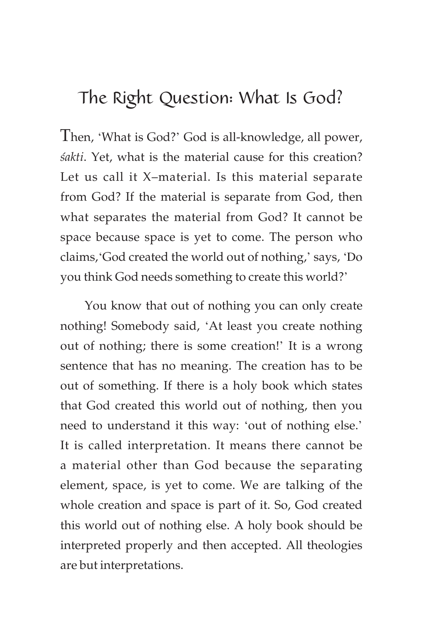### The Right Question: What Is God?

Then, 'What is God?' God is all-knowledge, all power, *çakti*. Yet, what is the material cause for this creation? Let us call it X–material. Is this material separate from God? If the material is separate from God, then what separates the material from God? It cannot be space because space is yet to come. The person who claims,'God created the world out of nothing,' says, 'Do you think God needs something to create this world?'

You know that out of nothing you can only create nothing! Somebody said, 'At least you create nothing out of nothing; there is some creation!' It is a wrong sentence that has no meaning. The creation has to be out of something. If there is a holy book which states that God created this world out of nothing, then you need to understand it this way: 'out of nothing else.' It is called interpretation. It means there cannot be a material other than God because the separating element, space, is yet to come. We are talking of the whole creation and space is part of it. So, God created this world out of nothing else. A holy book should be interpreted properly and then accepted. All theologies are but interpretations.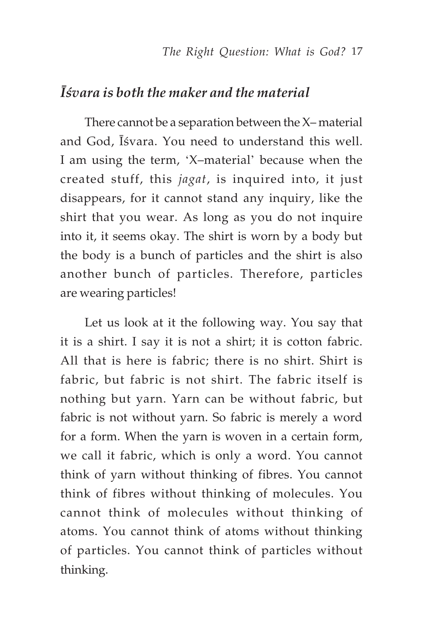#### *Éçvara is both the maker and the material*

There cannot be a separation between the X– material and God, Isvara. You need to understand this well. I am using the term, 'X–material' because when the created stuff, this *jagat*, is inquired into, it just disappears, for it cannot stand any inquiry, like the shirt that you wear. As long as you do not inquire into it, it seems okay. The shirt is worn by a body but the body is a bunch of particles and the shirt is also another bunch of particles. Therefore, particles are wearing particles!

Let us look at it the following way. You say that it is a shirt. I say it is not a shirt; it is cotton fabric. All that is here is fabric; there is no shirt. Shirt is fabric, but fabric is not shirt. The fabric itself is nothing but yarn. Yarn can be without fabric, but fabric is not without yarn. So fabric is merely a word for a form. When the yarn is woven in a certain form, we call it fabric, which is only a word. You cannot think of yarn without thinking of fibres. You cannot think of fibres without thinking of molecules. You cannot think of molecules without thinking of atoms. You cannot think of atoms without thinking of particles. You cannot think of particles without thinking.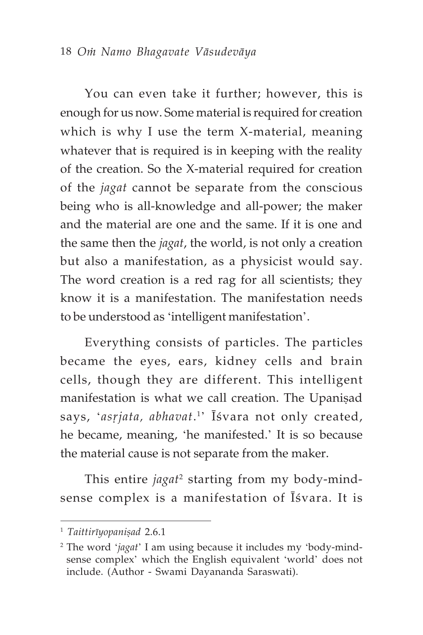You can even take it further; however, this is enough for us now. Some material is required for creation which is why I use the term X-material, meaning whatever that is required is in keeping with the reality of the creation. So the X-material required for creation of the *jagat* cannot be separate from the conscious being who is all-knowledge and all-power; the maker and the material are one and the same. If it is one and the same then the *jagat*, the world, is not only a creation but also a manifestation, as a physicist would say. The word creation is a red rag for all scientists; they know it is a manifestation. The manifestation needs to be understood as 'intelligent manifestation'.

Everything consists of particles. The particles became the eyes, ears, kidney cells and brain cells, though they are different. This intelligent manifestation is what we call creation. The Upanisad says*, 'asṛjata, abhavat.*'' Īśvara not only created*,* he became, meaning, 'he manifested.' It is so because the material cause is not separate from the maker.

This entire *jagat<sup>2</sup>* starting from my body-mindsense complex is a manifestation of Īśvara. It is

<sup>&</sup>lt;sup>1</sup> Taittirīyopanisad 2.6.1

<sup>2</sup> The word '*jagat*' I am using because it includes my 'body-mindsense complex' which the English equivalent 'world' does not include. (Author - Swami Dayananda Saraswati).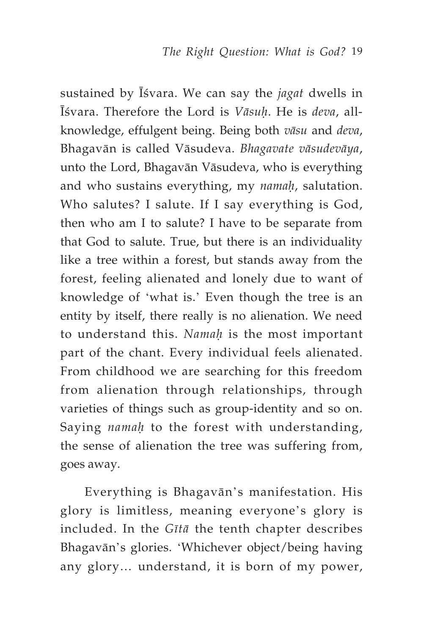sustained by Éçvara. We can say the *jagat* dwells in Éçvara. Therefore the Lord is *Väsuù*. He is *deva*, allknowledge, effulgent being. Being both *väsu* and *deva*, Bhagavän is called Väsudeva. *Bhagavate väsudeväya*, unto the Lord, Bhagavän Väsudeva, who is everything and who sustains everything, my *namaù*, salutation. Who salutes? I salute. If I say everything is God, then who am I to salute? I have to be separate from that God to salute. True, but there is an individuality like a tree within a forest, but stands away from the forest, feeling alienated and lonely due to want of knowledge of 'what is.' Even though the tree is an entity by itself, there really is no alienation. We need to understand this. *Namaù* is the most important part of the chant. Every individual feels alienated. From childhood we are searching for this freedom from alienation through relationships, through varieties of things such as group-identity and so on. Saying *namaù* to the forest with understanding, the sense of alienation the tree was suffering from, goes away.

Everything is Bhagavän's manifestation. His glory is limitless, meaning everyone's glory is included. In the *Gétä* the tenth chapter describes Bhagavän's glories. 'Whichever object/being having any glory… understand, it is born of my power,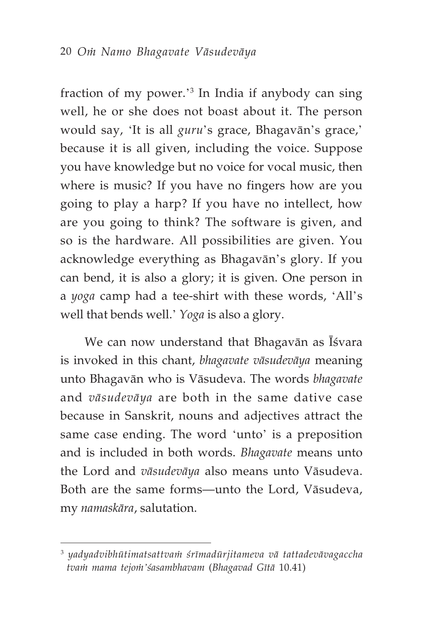fraction of my power.'<sup>3</sup> In India if anybody can sing well, he or she does not boast about it. The person would say, 'It is all *guru*'s grace, Bhagavän's grace,' because it is all given, including the voice. Suppose you have knowledge but no voice for vocal music, then where is music? If you have no fingers how are you going to play a harp? If you have no intellect, how are you going to think? The software is given, and so is the hardware. All possibilities are given. You acknowledge everything as Bhagavän's glory. If you can bend, it is also a glory; it is given. One person in a *yoga* camp had a tee-shirt with these words, 'All's well that bends well.' *Yoga* is also a glory.

We can now understand that Bhagavān as Īśvara is invoked in this chant, *bhagavate väsudeväya* meaning unto Bhagavän who is Väsudeva. The words *bhagavate* and *väsudeväya* are both in the same dative case because in Sanskrit, nouns and adjectives attract the same case ending. The word 'unto' is a preposition and is included in both words. *Bhagavate* means unto the Lord and *väsudeväya* also means unto Väsudeva. Both are the same forms—unto the Lord, Väsudeva, my *namaskära*, salutation.

<sup>&</sup>lt;sup>3</sup> yadyadvibhūtimatsattvam śrīmadūrjitameva vā tattadevāvagaccha *tvaà mama tejoà'çasambhavam* (*Bhagavad Gétä* 10.41)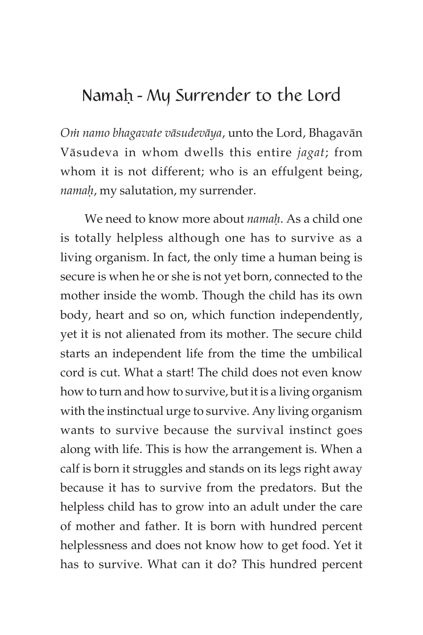### Namaù - My Surrender to the Lord

*Oà namo bhagavate väsudeväya*, unto the Lord, Bhagavän Väsudeva in whom dwells this entire *jagat*; from whom it is not different; who is an effulgent being, *namaù*, my salutation, my surrender.

We need to know more about *namaù*. As a child one is totally helpless although one has to survive as a living organism. In fact, the only time a human being is secure is when he or she is not yet born, connected to the mother inside the womb. Though the child has its own body, heart and so on, which function independently, yet it is not alienated from its mother. The secure child starts an independent life from the time the umbilical cord is cut. What a start! The child does not even know how to turn and how to survive, but it is a living organism with the instinctual urge to survive. Any living organism wants to survive because the survival instinct goes along with life. This is how the arrangement is. When a calf is born it struggles and stands on its legs right away because it has to survive from the predators. But the helpless child has to grow into an adult under the care of mother and father. It is born with hundred percent helplessness and does not know how to get food. Yet it has to survive. What can it do? This hundred percent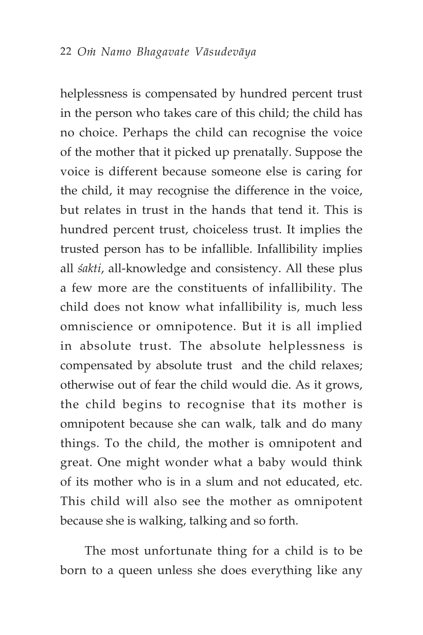helplessness is compensated by hundred percent trust in the person who takes care of this child; the child has no choice. Perhaps the child can recognise the voice of the mother that it picked up prenatally. Suppose the voice is different because someone else is caring for the child, it may recognise the difference in the voice, but relates in trust in the hands that tend it. This is hundred percent trust, choiceless trust. It implies the trusted person has to be infallible. Infallibility implies all *çakti*, all-knowledge and consistency. All these plus a few more are the constituents of infallibility. The child does not know what infallibility is, much less omniscience or omnipotence. But it is all implied in absolute trust. The absolute helplessness is compensated by absolute trust and the child relaxes; otherwise out of fear the child would die. As it grows, the child begins to recognise that its mother is omnipotent because she can walk, talk and do many things. To the child, the mother is omnipotent and great. One might wonder what a baby would think of its mother who is in a slum and not educated, etc. This child will also see the mother as omnipotent because she is walking, talking and so forth.

The most unfortunate thing for a child is to be born to a queen unless she does everything like any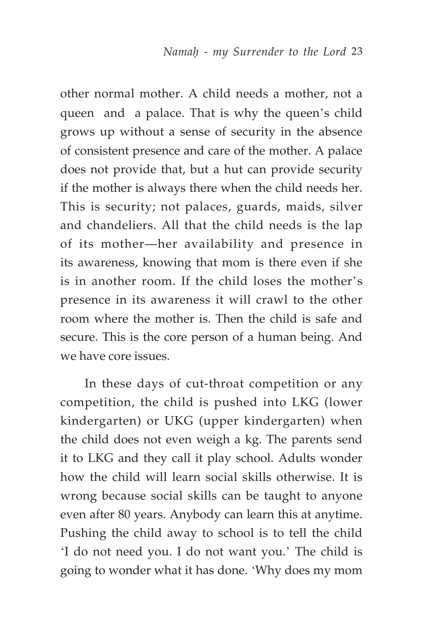other normal mother. A child needs a mother, not a queen and a palace. That is why the queen's child grows up without a sense of security in the absence of consistent presence and care of the mother. A palace does not provide that, but a hut can provide security if the mother is always there when the child needs her. This is security; not palaces, guards, maids, silver and chandeliers. All that the child needs is the lap of its mother—her availability and presence in its awareness, knowing that mom is there even if she is in another room. If the child loses the mother's presence in its awareness it will crawl to the other room where the mother is. Then the child is safe and secure. This is the core person of a human being. And we have core issues.

In these days of cut-throat competition or any competition, the child is pushed into LKG (lower kindergarten) or UKG (upper kindergarten) when the child does not even weigh a kg. The parents send it to LKG and they call it play school. Adults wonder how the child will learn social skills otherwise. It is wrong because social skills can be taught to anyone even after 80 years. Anybody can learn this at anytime. Pushing the child away to school is to tell the child 'I do not need you. I do not want you.' The child is going to wonder what it has done. 'Why does my mom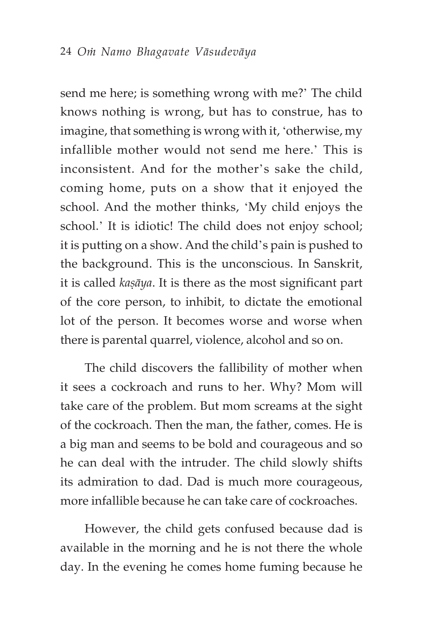send me here; is something wrong with me?' The child knows nothing is wrong, but has to construe, has to imagine, that something is wrong with it, 'otherwise, my infallible mother would not send me here.' This is inconsistent. And for the mother's sake the child, coming home, puts on a show that it enjoyed the school. And the mother thinks, 'My child enjoys the school.' It is idiotic! The child does not enjoy school; it is putting on a show. And the child's pain is pushed to the background. This is the unconscious. In Sanskrit, it is called *kaṣāya*. It is there as the most significant part of the core person, to inhibit, to dictate the emotional lot of the person. It becomes worse and worse when there is parental quarrel, violence, alcohol and so on.

The child discovers the fallibility of mother when it sees a cockroach and runs to her. Why? Mom will take care of the problem. But mom screams at the sight of the cockroach. Then the man, the father, comes. He is a big man and seems to be bold and courageous and so he can deal with the intruder. The child slowly shifts its admiration to dad. Dad is much more courageous, more infallible because he can take care of cockroaches.

However, the child gets confused because dad is available in the morning and he is not there the whole day. In the evening he comes home fuming because he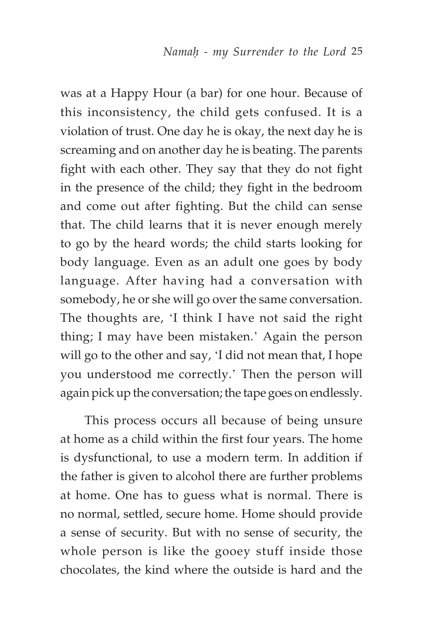was at a Happy Hour (a bar) for one hour. Because of this inconsistency, the child gets confused. It is a violation of trust. One day he is okay, the next day he is screaming and on another day he is beating. The parents fight with each other. They say that they do not fight in the presence of the child; they fight in the bedroom and come out after fighting. But the child can sense that. The child learns that it is never enough merely to go by the heard words; the child starts looking for body language. Even as an adult one goes by body language. After having had a conversation with somebody, he or she will go over the same conversation. The thoughts are, 'I think I have not said the right thing; I may have been mistaken.' Again the person will go to the other and say, 'I did not mean that, I hope you understood me correctly.' Then the person will again pick up the conversation; the tape goes on endlessly.

This process occurs all because of being unsure at home as a child within the first four years. The home is dysfunctional, to use a modern term. In addition if the father is given to alcohol there are further problems at home. One has to guess what is normal. There is no normal, settled, secure home. Home should provide a sense of security. But with no sense of security, the whole person is like the gooey stuff inside those chocolates, the kind where the outside is hard and the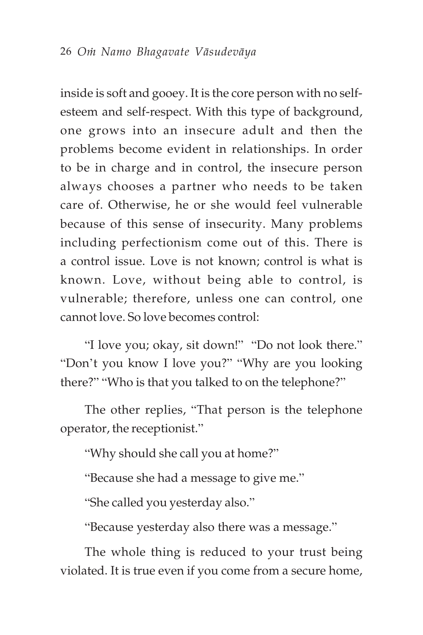inside is soft and gooey. It is the core person with no selfesteem and self-respect. With this type of background, one grows into an insecure adult and then the problems become evident in relationships. In order to be in charge and in control, the insecure person always chooses a partner who needs to be taken care of. Otherwise, he or she would feel vulnerable because of this sense of insecurity. Many problems including perfectionism come out of this. There is a control issue. Love is not known; control is what is known. Love, without being able to control, is vulnerable; therefore, unless one can control, one cannot love. So love becomes control:

"I love you; okay, sit down!" "Do not look there." "Don't you know I love you?" "Why are you looking there?" "Who is that you talked to on the telephone?"

The other replies, "That person is the telephone operator, the receptionist."

"Why should she call you at home?"

"Because she had a message to give me."

"She called you yesterday also."

"Because yesterday also there was a message."

The whole thing is reduced to your trust being violated. It is true even if you come from a secure home,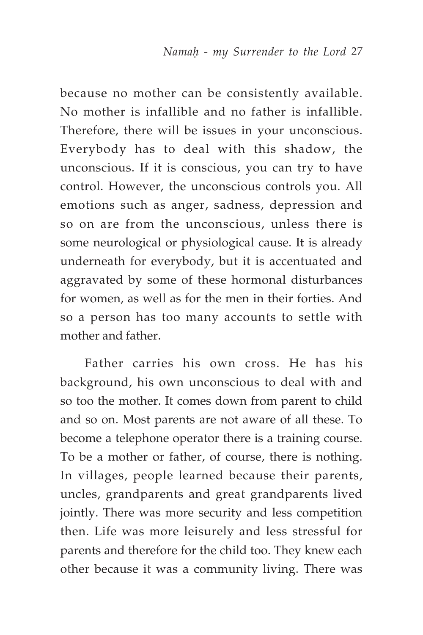because no mother can be consistently available. No mother is infallible and no father is infallible. Therefore, there will be issues in your unconscious. Everybody has to deal with this shadow, the unconscious. If it is conscious, you can try to have control. However, the unconscious controls you. All emotions such as anger, sadness, depression and so on are from the unconscious, unless there is some neurological or physiological cause. It is already underneath for everybody, but it is accentuated and aggravated by some of these hormonal disturbances for women, as well as for the men in their forties. And so a person has too many accounts to settle with mother and father.

Father carries his own cross. He has his background, his own unconscious to deal with and so too the mother. It comes down from parent to child and so on. Most parents are not aware of all these. To become a telephone operator there is a training course. To be a mother or father, of course, there is nothing. In villages, people learned because their parents, uncles, grandparents and great grandparents lived jointly. There was more security and less competition then. Life was more leisurely and less stressful for parents and therefore for the child too. They knew each other because it was a community living. There was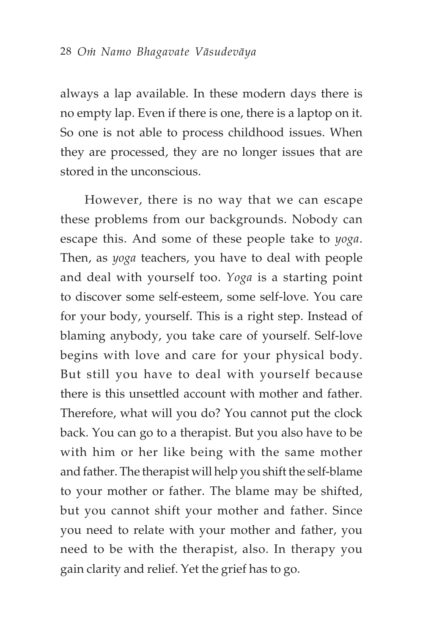always a lap available. In these modern days there is no empty lap. Even if there is one, there is a laptop on it. So one is not able to process childhood issues. When they are processed, they are no longer issues that are stored in the unconscious.

However, there is no way that we can escape these problems from our backgrounds. Nobody can escape this. And some of these people take to *yoga*. Then, as *yoga* teachers, you have to deal with people and deal with yourself too. *Yoga* is a starting point to discover some self-esteem, some self-love. You care for your body, yourself. This is a right step. Instead of blaming anybody, you take care of yourself. Self-love begins with love and care for your physical body. But still you have to deal with yourself because there is this unsettled account with mother and father. Therefore, what will you do? You cannot put the clock back. You can go to a therapist. But you also have to be with him or her like being with the same mother and father. The therapist will help you shift the self-blame to your mother or father. The blame may be shifted, but you cannot shift your mother and father. Since you need to relate with your mother and father, you need to be with the therapist, also. In therapy you gain clarity and relief. Yet the grief has to go.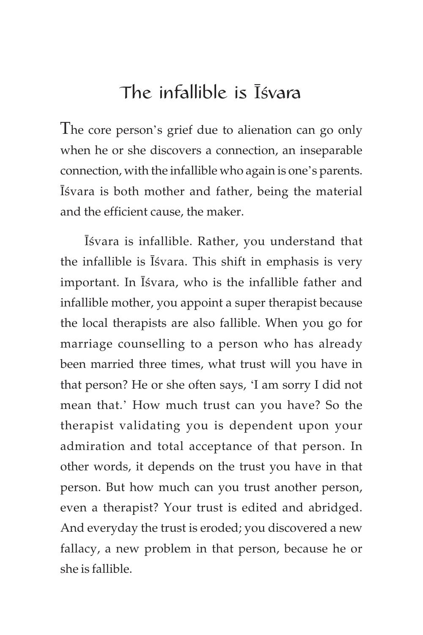## The infallible is Éçvara

The core person's grief due to alienation can go only when he or she discovers a connection, an inseparable connection, with the infallible who again is one's parents. Éçvara is both mother and father, being the material and the efficient cause, the maker.

Éçvara is infallible. Rather, you understand that the infallible is Isvara. This shift in emphasis is very important. In Isvara, who is the infallible father and infallible mother, you appoint a super therapist because the local therapists are also fallible. When you go for marriage counselling to a person who has already been married three times, what trust will you have in that person? He or she often says, 'I am sorry I did not mean that.' How much trust can you have? So the therapist validating you is dependent upon your admiration and total acceptance of that person. In other words, it depends on the trust you have in that person. But how much can you trust another person, even a therapist? Your trust is edited and abridged. And everyday the trust is eroded; you discovered a new fallacy, a new problem in that person, because he or she is fallible.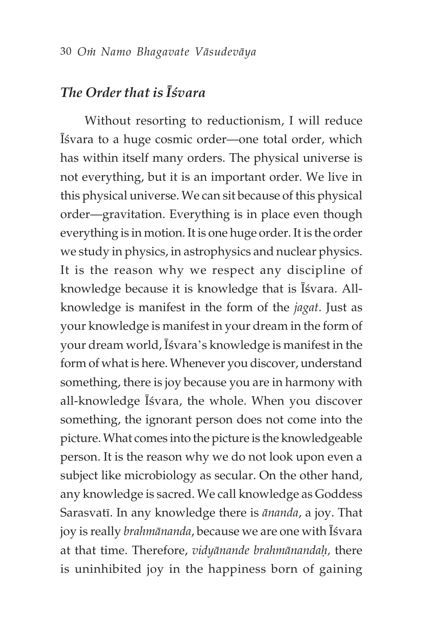#### *The Order that is Éçvara*

Without resorting to reductionism, I will reduce Éçvara to a huge cosmic order—one total order, which has within itself many orders. The physical universe is not everything, but it is an important order. We live in this physical universe. We can sit because of this physical order—gravitation. Everything is in place even though everything is in motion. It is one huge order. It is the order we study in physics, in astrophysics and nuclear physics. It is the reason why we respect any discipline of knowledge because it is knowledge that is Isvara. Allknowledge is manifest in the form of the *jagat*. Just as your knowledge is manifest in your dream in the form of your dream world, Isvara's knowledge is manifest in the form of what is here. Whenever you discover, understand something, there is joy because you are in harmony with all-knowledge Isvara, the whole. When you discover something, the ignorant person does not come into the picture. What comes into the picture is the knowledgeable person. It is the reason why we do not look upon even a subject like microbiology as secular. On the other hand, any knowledge is sacred. We call knowledge as Goddess Sarasvatī. In any knowledge there is *ānanda*, a joy. That joy is really *brahmānanda*, because we are one with *Isvara* at that time. Therefore, *vidyänande brahmänandaù,* there is uninhibited joy in the happiness born of gaining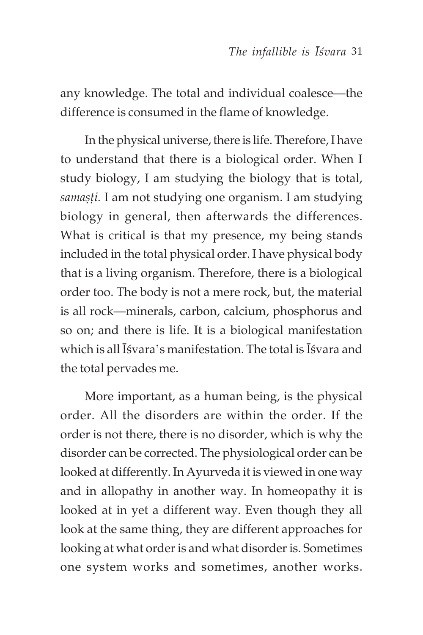any knowledge. The total and individual coalesce—the difference is consumed in the flame of knowledge.

In the physical universe, there is life. Therefore, I have to understand that there is a biological order. When I study biology, I am studying the biology that is total, samașți. I am not studying one organism. I am studying biology in general, then afterwards the differences. What is critical is that my presence, my being stands included in the total physical order. I have physical body that is a living organism. Therefore, there is a biological order too. The body is not a mere rock, but, the material is all rock—minerals, carbon, calcium, phosphorus and so on; and there is life. It is a biological manifestation which is all <sup>L</sup>isvara's manifestation. The total is Lisvara and the total pervades me.

More important, as a human being, is the physical order. All the disorders are within the order. If the order is not there, there is no disorder, which is why the disorder can be corrected. The physiological order can be looked at differently. In Ayurveda it is viewed in one way and in allopathy in another way. In homeopathy it is looked at in yet a different way. Even though they all look at the same thing, they are different approaches for looking at what order is and what disorder is. Sometimes one system works and sometimes, another works.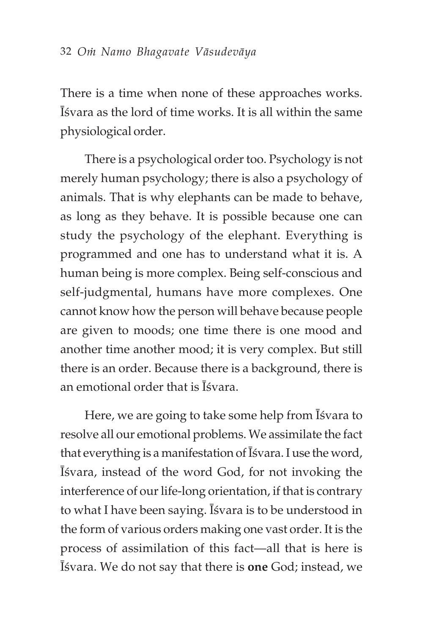There is a time when none of these approaches works. Éçvara as the lord of time works. It is all within the same physiological order.

There is a psychological order too. Psychology is not merely human psychology; there is also a psychology of animals. That is why elephants can be made to behave, as long as they behave. It is possible because one can study the psychology of the elephant. Everything is programmed and one has to understand what it is. A human being is more complex. Being self-conscious and self-judgmental, humans have more complexes. One cannot know how the person will behave because people are given to moods; one time there is one mood and another time another mood; it is very complex. But still there is an order. Because there is a background, there is an emotional order that is Éçvara.

Here, we are going to take some help from Isvara to resolve all our emotional problems. We assimilate the fact that everything is a manifestation of *Isvara*. I use the word, Éçvara, instead of the word God, for not invoking the interference of our life-long orientation, if that is contrary to what I have been saying. Is vara is to be understood in the form of various orders making one vast order. It is the process of assimilation of this fact—all that is here is Éçvara. We do not say that there is **one** God; instead, we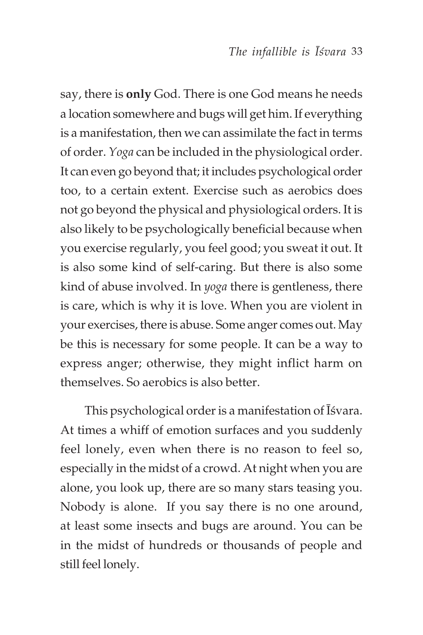say, there is **only** God. There is one God means he needs a location somewhere and bugs will get him. If everything is a manifestation, then we can assimilate the fact in terms of order. *Yoga* can be included in the physiological order. It can even go beyond that; it includes psychological order too, to a certain extent. Exercise such as aerobics does not go beyond the physical and physiological orders. It is also likely to be psychologically beneficial because when you exercise regularly, you feel good; you sweat it out. It is also some kind of self-caring. But there is also some kind of abuse involved. In *yoga* there is gentleness, there is care, which is why it is love. When you are violent in your exercises, there is abuse. Some anger comes out. May be this is necessary for some people. It can be a way to express anger; otherwise, they might inflict harm on themselves. So aerobics is also better.

This psychological order is a manifestation of Isvara. At times a whiff of emotion surfaces and you suddenly feel lonely, even when there is no reason to feel so, especially in the midst of a crowd. At night when you are alone, you look up, there are so many stars teasing you. Nobody is alone. If you say there is no one around, at least some insects and bugs are around. You can be in the midst of hundreds or thousands of people and still feel lonely.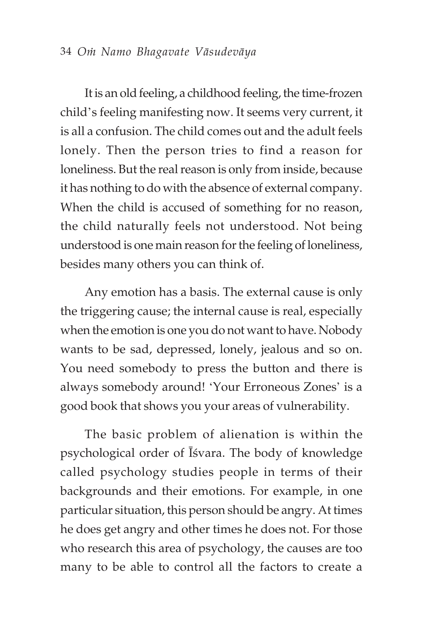It is an old feeling, a childhood feeling, the time-frozen child's feeling manifesting now. It seems very current, it is all a confusion. The child comes out and the adult feels lonely. Then the person tries to find a reason for loneliness. But the real reason is only from inside, because it has nothing to do with the absence of external company. When the child is accused of something for no reason, the child naturally feels not understood. Not being understood is one main reason for the feeling of loneliness, besides many others you can think of.

Any emotion has a basis. The external cause is only the triggering cause; the internal cause is real, especially when the emotion is one you do not want to have. Nobody wants to be sad, depressed, lonely, jealous and so on. You need somebody to press the button and there is always somebody around! 'Your Erroneous Zones' is a good book that shows you your areas of vulnerability.

The basic problem of alienation is within the psychological order of Isvara. The body of knowledge called psychology studies people in terms of their backgrounds and their emotions. For example, in one particular situation, this person should be angry. At times he does get angry and other times he does not. For those who research this area of psychology, the causes are too many to be able to control all the factors to create a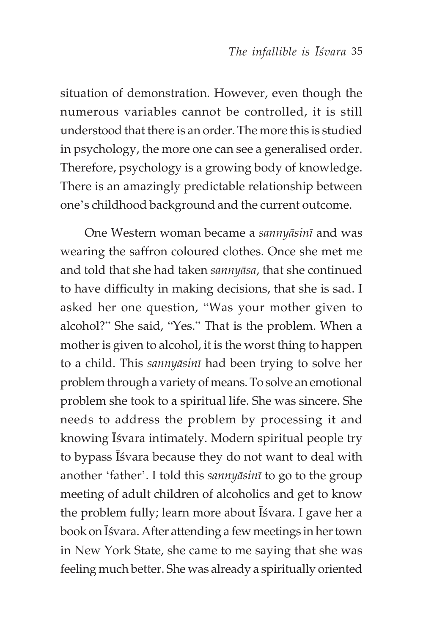situation of demonstration. However, even though the numerous variables cannot be controlled, it is still understood that there is an order. The more this is studied in psychology, the more one can see a generalised order. Therefore, psychology is a growing body of knowledge. There is an amazingly predictable relationship between one's childhood background and the current outcome.

One Western woman became a *sannyäsiné* and was wearing the saffron coloured clothes. Once she met me and told that she had taken *sannyäsa*, that she continued to have difficulty in making decisions, that she is sad. I asked her one question, "Was your mother given to alcohol?" She said, "Yes." That is the problem. When a mother is given to alcohol, it is the worst thing to happen to a child. This *sannyäsiné* had been trying to solve her problem through a variety of means. To solve an emotional problem she took to a spiritual life. She was sincere. She needs to address the problem by processing it and knowing *Isvara* intimately. Modern spiritual people try to bypass Isvara because they do not want to deal with another 'father'. I told this *sannyäsiné* to go to the group meeting of adult children of alcoholics and get to know the problem fully; learn more about Isvara. I gave her a book on *I*svara. After attending a few meetings in her town in New York State, she came to me saying that she was feeling much better. She was already a spiritually oriented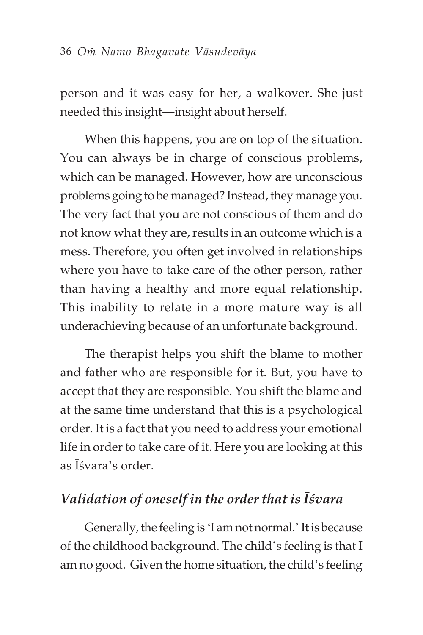person and it was easy for her, a walkover. She just needed this insight—insight about herself.

When this happens, you are on top of the situation. You can always be in charge of conscious problems, which can be managed. However, how are unconscious problems going to be managed? Instead, they manage you. The very fact that you are not conscious of them and do not know what they are, results in an outcome which is a mess. Therefore, you often get involved in relationships where you have to take care of the other person, rather than having a healthy and more equal relationship. This inability to relate in a more mature way is all underachieving because of an unfortunate background.

The therapist helps you shift the blame to mother and father who are responsible for it. But, you have to accept that they are responsible. You shift the blame and at the same time understand that this is a psychological order. It is a fact that you need to address your emotional life in order to take care of it. Here you are looking at this as Éçvara's order.

### *Validation of oneself in the order that is Éçvara*

Generally, the feeling is 'I am not normal.' It is because of the childhood background. The child's feeling is that I am no good. Given the home situation, the child's feeling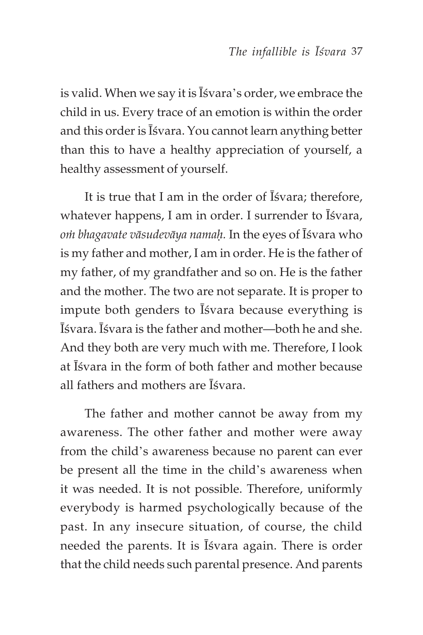is valid. When we say it is *Isvara's* order, we embrace the child in us. Every trace of an emotion is within the order and this order is Isvara. You cannot learn anything better than this to have a healthy appreciation of yourself, a healthy assessment of yourself.

It is true that I am in the order of Isvara; therefore, whatever happens, I am in order. I surrender to  $\bar{I}$  svara, *oà bhagavate väsudeväya namaù.* In the eyes of Éçvara who is my father and mother, I am in order. He is the father of my father, of my grandfather and so on. He is the father and the mother. The two are not separate. It is proper to impute both genders to Isvara because everything is Éçvara. Éçvara is the father and mother—both he and she. And they both are very much with me. Therefore, I look at Éçvara in the form of both father and mother because all fathers and mothers are Éçvara.

The father and mother cannot be away from my awareness. The other father and mother were away from the child's awareness because no parent can ever be present all the time in the child's awareness when it was needed. It is not possible. Therefore, uniformly everybody is harmed psychologically because of the past. In any insecure situation, of course, the child needed the parents. It is Isvara again. There is order that the child needs such parental presence. And parents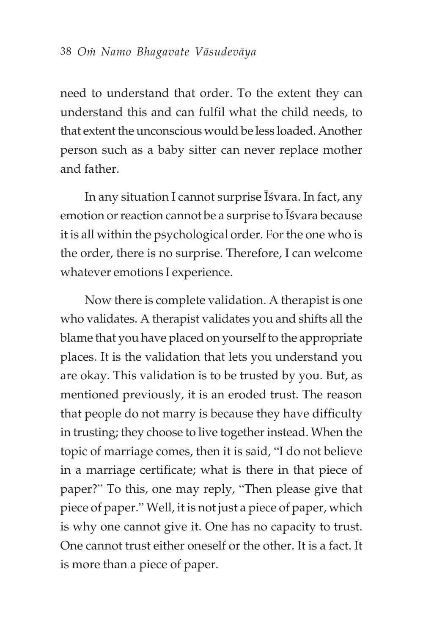need to understand that order. To the extent they can understand this and can fulfil what the child needs, to that extent the unconscious would be less loaded. Another person such as a baby sitter can never replace mother and father.

In any situation I cannot surprise *I*svara. In fact, any emotion or reaction cannot be a surprise to *I*svara because it is all within the psychological order. For the one who is the order, there is no surprise. Therefore, I can welcome whatever emotions I experience.

Now there is complete validation. A therapist is one who validates. A therapist validates you and shifts all the blame that you have placed on yourself to the appropriate places. It is the validation that lets you understand you are okay. This validation is to be trusted by you. But, as mentioned previously, it is an eroded trust. The reason that people do not marry is because they have difficulty in trusting; they choose to live together instead. When the topic of marriage comes, then it is said, "I do not believe in a marriage certificate; what is there in that piece of paper?" To this, one may reply, "Then please give that piece of paper." Well, it is not just a piece of paper, which is why one cannot give it. One has no capacity to trust. One cannot trust either oneself or the other. It is a fact. It is more than a piece of paper.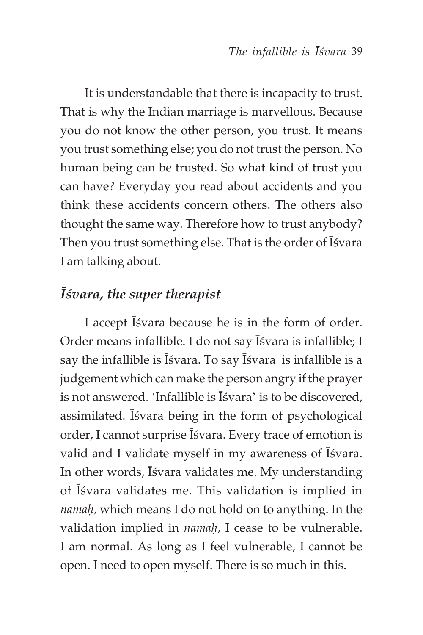It is understandable that there is incapacity to trust. That is why the Indian marriage is marvellous. Because you do not know the other person, you trust. It means you trust something else; you do not trust the person. No human being can be trusted. So what kind of trust you can have? Everyday you read about accidents and you think these accidents concern others. The others also thought the same way. Therefore how to trust anybody? Then you trust something else. That is the order of Isvara I am talking about.

### *Éçvara, the super therapist*

I accept *Isvara* because he is in the form of order. Order means infallible. I do not say Isvara is infallible; I say the infallible is  $\bar{I}$  svara. To say  $\bar{I}$  svara is infallible is a judgement which can make the person angry if the prayer is not answered. 'Infallible is <sup>Isvara</sup>' is to be discovered, assimilated. Is vara being in the form of psychological order, I cannot surprise Īśvara. Every trace of emotion is valid and I validate myself in my awareness of Īśvara. In other words, *Isvara validates* me. My understanding of Éçvara validates me. This validation is implied in *namaù,* which means I do not hold on to anything. In the validation implied in *namaù,* I cease to be vulnerable. I am normal. As long as I feel vulnerable, I cannot be open. I need to open myself. There is so much in this.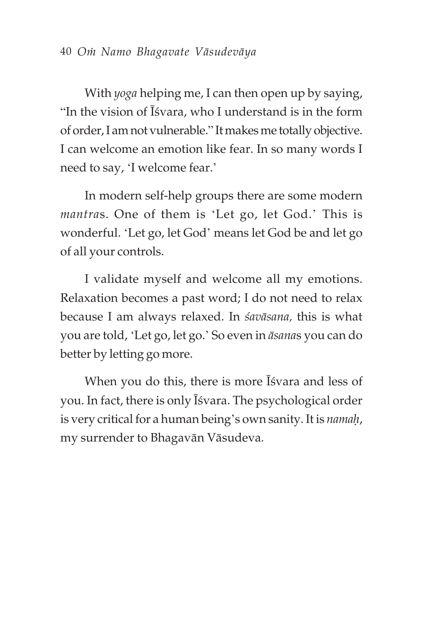With *yoga* helping me, I can then open up by saying, "In the vision of Éçvara, who I understand is in the form of order, I am not vulnerable." It makes me totally objective. I can welcome an emotion like fear. In so many words I need to say, 'I welcome fear.'

In modern self-help groups there are some modern *mantra*s. One of them is 'Let go, let God.' This is wonderful. 'Let go, let God' means let God be and let go of all your controls.

I validate myself and welcome all my emotions. Relaxation becomes a past word; I do not need to relax because I am always relaxed. In *çaväsana,* this is what you are told, 'Let go, let go.' So even in *äsana*s you can do better by letting go more.

When you do this, there is more Isvara and less of you. In fact, there is only *Isvara*. The psychological order is very critical for a human being's own sanity. It is *namaù*, my surrender to Bhagavän Väsudeva*.*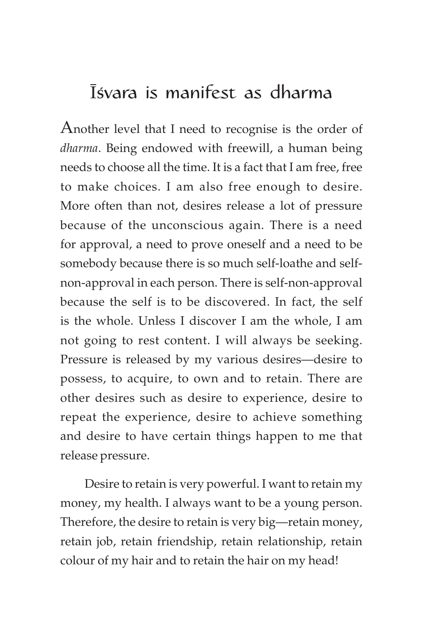### É**Ç**vara is manifest as dharma

Another level that I need to recognise is the order of *dharma*. Being endowed with freewill, a human being needs to choose all the time. It is a fact that I am free, free to make choices. I am also free enough to desire. More often than not, desires release a lot of pressure because of the unconscious again. There is a need for approval, a need to prove oneself and a need to be somebody because there is so much self-loathe and selfnon-approval in each person. There is self-non-approval because the self is to be discovered. In fact, the self is the whole. Unless I discover I am the whole, I am not going to rest content. I will always be seeking. Pressure is released by my various desires—desire to possess, to acquire, to own and to retain. There are other desires such as desire to experience, desire to repeat the experience, desire to achieve something and desire to have certain things happen to me that release pressure.

Desire to retain is very powerful. I want to retain my money, my health. I always want to be a young person. Therefore, the desire to retain is very big—retain money, retain job, retain friendship, retain relationship, retain colour of my hair and to retain the hair on my head!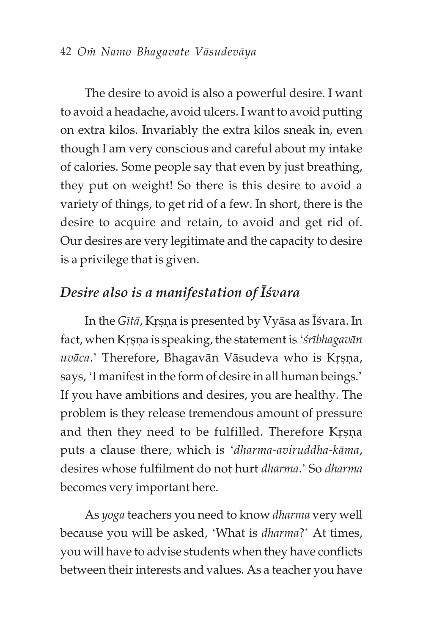#### 42 *Oà Namo Bhagavate Väsudeväya*

The desire to avoid is also a powerful desire. I want to avoid a headache, avoid ulcers. I want to avoid putting on extra kilos. Invariably the extra kilos sneak in, even though I am very conscious and careful about my intake of calories. Some people say that even by just breathing, they put on weight! So there is this desire to avoid a variety of things, to get rid of a few. In short, there is the desire to acquire and retain, to avoid and get rid of. Our desires are very legitimate and the capacity to desire is a privilege that is given.

#### *Desire also is a manifestation of Éçvara*

In the *Gītā*, Krsņa is presented by Vyāsa as Īśvara. In fact, when Krsna is speaking, the statement is 'srībhagavān' *uvāca*.' Therefore, Bhagavān Vāsudeva who is Krsna, says, 'I manifest in the form of desire in all human beings.' If you have ambitions and desires, you are healthy. The problem is they release tremendous amount of pressure and then they need to be fulfilled. Therefore Krsna puts a clause there, which is '*dharma-aviruddha-käma*, desires whose fulfilment do not hurt *dharma*.' So *dharma* becomes very important here.

As *yoga* teachers you need to know *dharma* very well because you will be asked, 'What is *dharma*?' At times, you will have to advise students when they have conflicts between their interests and values. As a teacher you have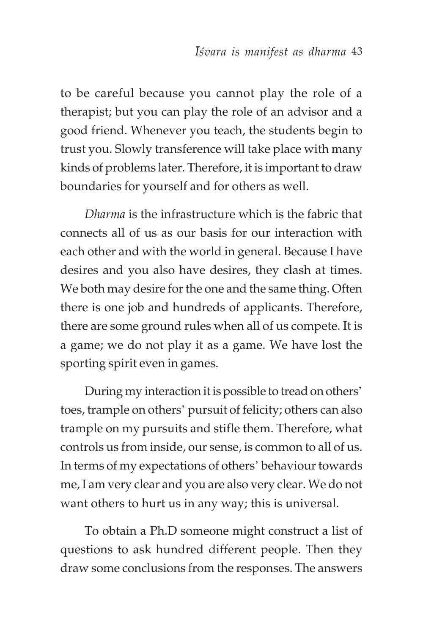to be careful because you cannot play the role of a therapist; but you can play the role of an advisor and a good friend. Whenever you teach, the students begin to trust you. Slowly transference will take place with many kinds of problems later. Therefore, it is important to draw boundaries for yourself and for others as well.

*Dharma* is the infrastructure which is the fabric that connects all of us as our basis for our interaction with each other and with the world in general. Because I have desires and you also have desires, they clash at times. We both may desire for the one and the same thing. Often there is one job and hundreds of applicants. Therefore, there are some ground rules when all of us compete. It is a game; we do not play it as a game. We have lost the sporting spirit even in games.

During my interaction it is possible to tread on others' toes, trample on others' pursuit of felicity; others can also trample on my pursuits and stifle them. Therefore, what controls us from inside, our sense, is common to all of us. In terms of my expectations of others' behaviour towards me, I am very clear and you are also very clear. We do not want others to hurt us in any way; this is universal.

To obtain a Ph.D someone might construct a list of questions to ask hundred different people. Then they draw some conclusions from the responses. The answers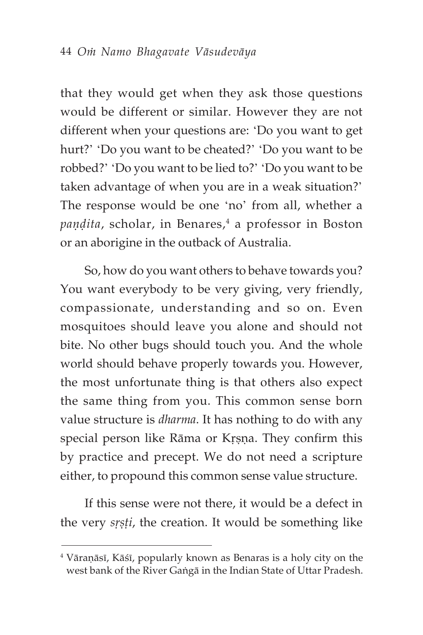that they would get when they ask those questions would be different or similar. However they are not different when your questions are: 'Do you want to get hurt?' 'Do you want to be cheated?' 'Do you want to be robbed?' 'Do you want to be lied to?' 'Do you want to be taken advantage of when you are in a weak situation?' The response would be one 'no' from all, whether a p*aṇḍita,* scholar, in Benares,<del>'</del> a professor in Boston or an aborigine in the outback of Australia.

So, how do you want others to behave towards you? You want everybody to be very giving, very friendly, compassionate, understanding and so on. Even mosquitoes should leave you alone and should not bite. No other bugs should touch you. And the whole world should behave properly towards you. However, the most unfortunate thing is that others also expect the same thing from you. This common sense born value structure is *dharma*. It has nothing to do with any special person like Rāma or Krsna. They confirm this by practice and precept. We do not need a scripture either, to propound this common sense value structure.

If this sense were not there, it would be a defect in the very *srsti*, the creation. It would be something like

<sup>&</sup>lt;sup>4</sup> Vāraņāsī, Kāśī, popularly known as Benaras is a holy city on the west bank of the River Gaìgä in the Indian State of Uttar Pradesh.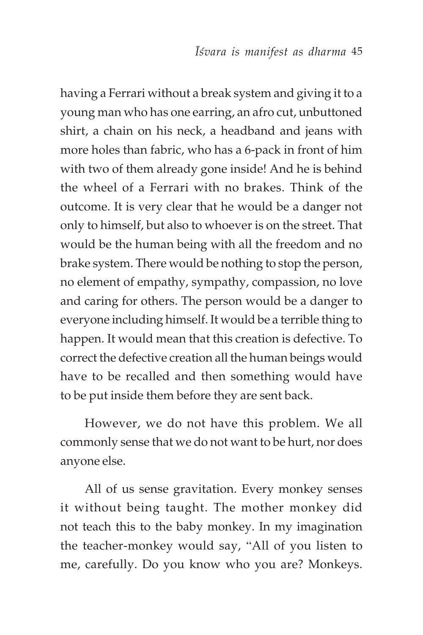having a Ferrari without a break system and giving it to a young man who has one earring, an afro cut, unbuttoned shirt, a chain on his neck, a headband and jeans with more holes than fabric, who has a 6-pack in front of him with two of them already gone inside! And he is behind the wheel of a Ferrari with no brakes. Think of the outcome. It is very clear that he would be a danger not only to himself, but also to whoever is on the street. That would be the human being with all the freedom and no brake system. There would be nothing to stop the person, no element of empathy, sympathy, compassion, no love and caring for others. The person would be a danger to everyone including himself. It would be a terrible thing to happen. It would mean that this creation is defective. To correct the defective creation all the human beings would have to be recalled and then something would have to be put inside them before they are sent back.

However, we do not have this problem. We all commonly sense that we do not want to be hurt, nor does anyone else.

All of us sense gravitation. Every monkey senses it without being taught. The mother monkey did not teach this to the baby monkey. In my imagination the teacher-monkey would say, "All of you listen to me, carefully. Do you know who you are? Monkeys.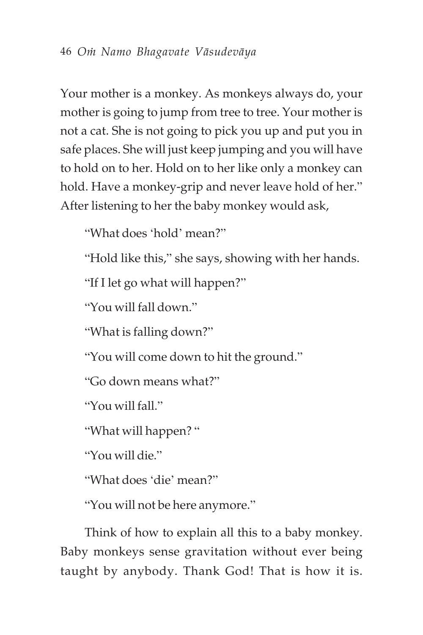Your mother is a monkey. As monkeys always do, your mother is going to jump from tree to tree. Your mother is not a cat. She is not going to pick you up and put you in safe places. She will just keep jumping and you will have to hold on to her. Hold on to her like only a monkey can hold. Have a monkey-grip and never leave hold of her." After listening to her the baby monkey would ask,

"What does 'hold' mean?"

"Hold like this," she says, showing with her hands.

"If I let go what will happen?"

"You will fall down."

"What is falling down?"

"You will come down to hit the ground."

"Go down means what?"

"You will fall."

"What will happen? "

"You will die."

"What does 'die' mean?"

"You will not be here anymore."

Think of how to explain all this to a baby monkey. Baby monkeys sense gravitation without ever being taught by anybody. Thank God! That is how it is.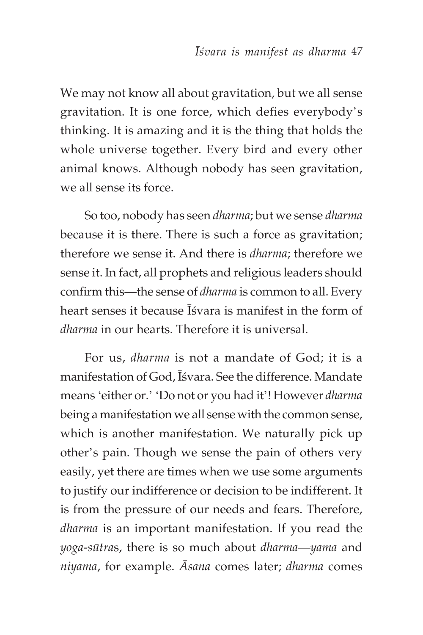We may not know all about gravitation, but we all sense gravitation. It is one force, which defies everybody's thinking. It is amazing and it is the thing that holds the whole universe together. Every bird and every other animal knows. Although nobody has seen gravitation, we all sense its force.

So too, nobody has seen *dharma*; but we sense *dharma* because it is there. There is such a force as gravitation; therefore we sense it. And there is *dharma*; therefore we sense it. In fact, all prophets and religious leaders should confirm this—the sense of *dharma* is common to all. Every heart senses it because Is vara is manifest in the form of *dharma* in our hearts. Therefore it is universal.

For us, *dharma* is not a mandate of God; it is a manifestation of God, Isvara. See the difference. Mandate means 'either or.' 'Do not or you had it'! However *dharma* being a manifestation we all sense with the common sense, which is another manifestation. We naturally pick up other's pain. Though we sense the pain of others very easily, yet there are times when we use some arguments to justify our indifference or decision to be indifferent. It is from the pressure of our needs and fears. Therefore, *dharma* is an important manifestation. If you read the *yoga*-*sütra*s, there is so much about *dharma*—*yama* and *niyama*, for example. *Äsana* comes later; *dharma* comes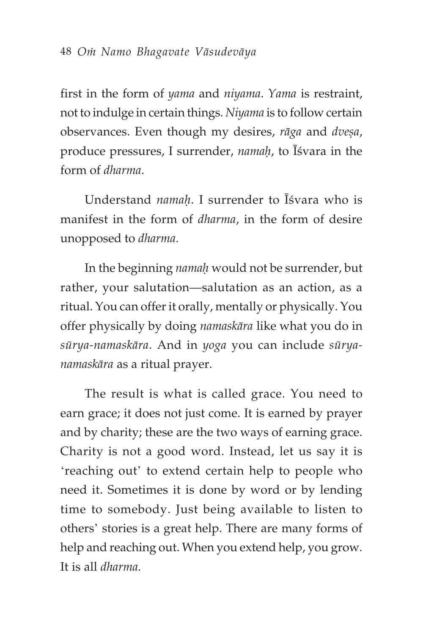first in the form of *yama* and *niyama*. *Yama* is restraint, not to indulge in certain things. *Niyama* is to follow certain observances. Even though my desires, *rāga* and *dveșa*, produce pressures, I surrender, *namaù*, to Éçvara in the form of *dharma*.

Understand *namah*. I surrender to *I*svara who is manifest in the form of *dharma*, in the form of desire unopposed to *dharma*.

In the beginning *namaù* would not be surrender, but rather, your salutation—salutation as an action, as a ritual. You can offer it orally, mentally or physically. You offer physically by doing *namaskära* like what you do in *sürya-namaskära*. And in *yoga* you can include *süryanamaskära* as a ritual prayer.

The result is what is called grace. You need to earn grace; it does not just come. It is earned by prayer and by charity; these are the two ways of earning grace. Charity is not a good word. Instead, let us say it is 'reaching out' to extend certain help to people who need it. Sometimes it is done by word or by lending time to somebody. Just being available to listen to others' stories is a great help. There are many forms of help and reaching out. When you extend help, you grow. It is all *dharma.*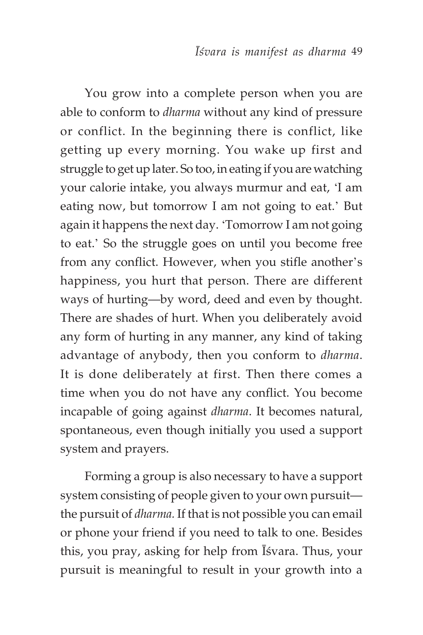You grow into a complete person when you are able to conform to *dharma* without any kind of pressure or conflict. In the beginning there is conflict, like getting up every morning. You wake up first and struggle to get up later. So too, in eating if you are watching your calorie intake, you always murmur and eat, 'I am eating now, but tomorrow I am not going to eat.' But again it happens the next day. 'Tomorrow I am not going to eat.' So the struggle goes on until you become free from any conflict. However, when you stifle another's happiness, you hurt that person. There are different ways of hurting—by word, deed and even by thought. There are shades of hurt. When you deliberately avoid any form of hurting in any manner, any kind of taking advantage of anybody, then you conform to *dharma*. It is done deliberately at first. Then there comes a time when you do not have any conflict. You become incapable of going against *dharma*. It becomes natural, spontaneous, even though initially you used a support system and prayers.

Forming a group is also necessary to have a support system consisting of people given to your own pursuit the pursuit of *dharma.* If that is not possible you can email or phone your friend if you need to talk to one. Besides this, you pray, asking for help from Isvara. Thus, your pursuit is meaningful to result in your growth into a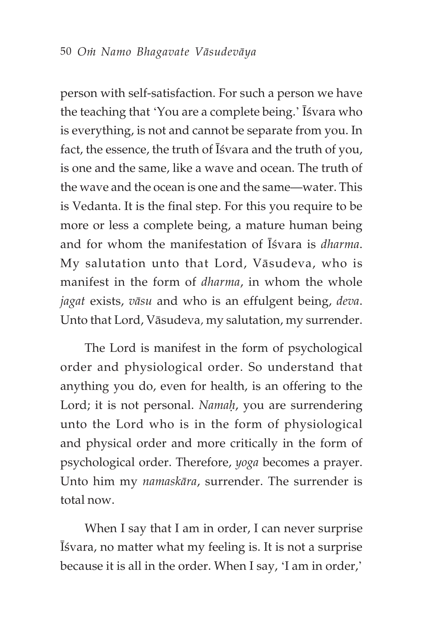person with self-satisfaction. For such a person we have the teaching that 'You are a complete being.' Isvara who is everything, is not and cannot be separate from you. In fact, the essence, the truth of Isvara and the truth of you, is one and the same, like a wave and ocean. The truth of the wave and the ocean is one and the same—water. This is Vedanta. It is the final step. For this you require to be more or less a complete being, a mature human being and for whom the manifestation of Éçvara is *dharma*. My salutation unto that Lord, Väsudeva, who is manifest in the form of *dharma*, in whom the whole *jagat* exists, *väsu* and who is an effulgent being, *deva*. Unto that Lord, Väsudeva*,* my salutation, my surrender.

The Lord is manifest in the form of psychological order and physiological order. So understand that anything you do, even for health, is an offering to the Lord; it is not personal. *Namaù*, you are surrendering unto the Lord who is in the form of physiological and physical order and more critically in the form of psychological order. Therefore, *yoga* becomes a prayer. Unto him my *namaskära*, surrender. The surrender is total now.

When I say that I am in order, I can never surprise Éçvara, no matter what my feeling is. It is not a surprise because it is all in the order. When I say, 'I am in order,'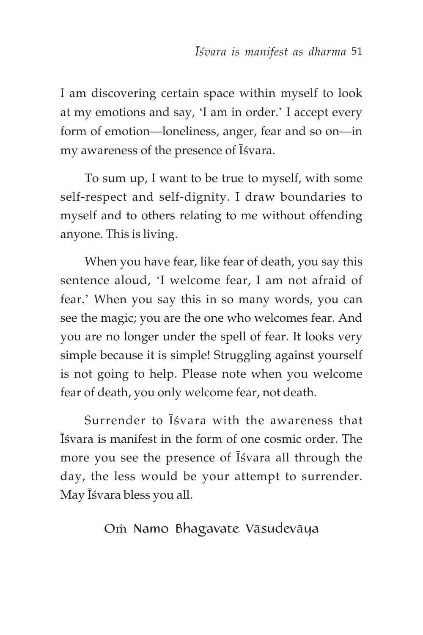I am discovering certain space within myself to look at my emotions and say, 'I am in order.' I accept every form of emotion—loneliness, anger, fear and so on—in my awareness of the presence of Īśvara.

To sum up, I want to be true to myself, with some self-respect and self-dignity. I draw boundaries to myself and to others relating to me without offending anyone. This is living.

When you have fear, like fear of death, you say this sentence aloud, 'I welcome fear, I am not afraid of fear.' When you say this in so many words, you can see the magic; you are the one who welcomes fear. And you are no longer under the spell of fear. It looks very simple because it is simple! Struggling against yourself is not going to help. Please note when you welcome fear of death, you only welcome fear, not death.

Surrender to *Isvara* with the awareness that Éçvara is manifest in the form of one cosmic order. The more you see the presence of Isvara all through the day, the less would be your attempt to surrender. May *Isvara* bless you all.

#### Om Namo Bhagavate Vāsudevāya